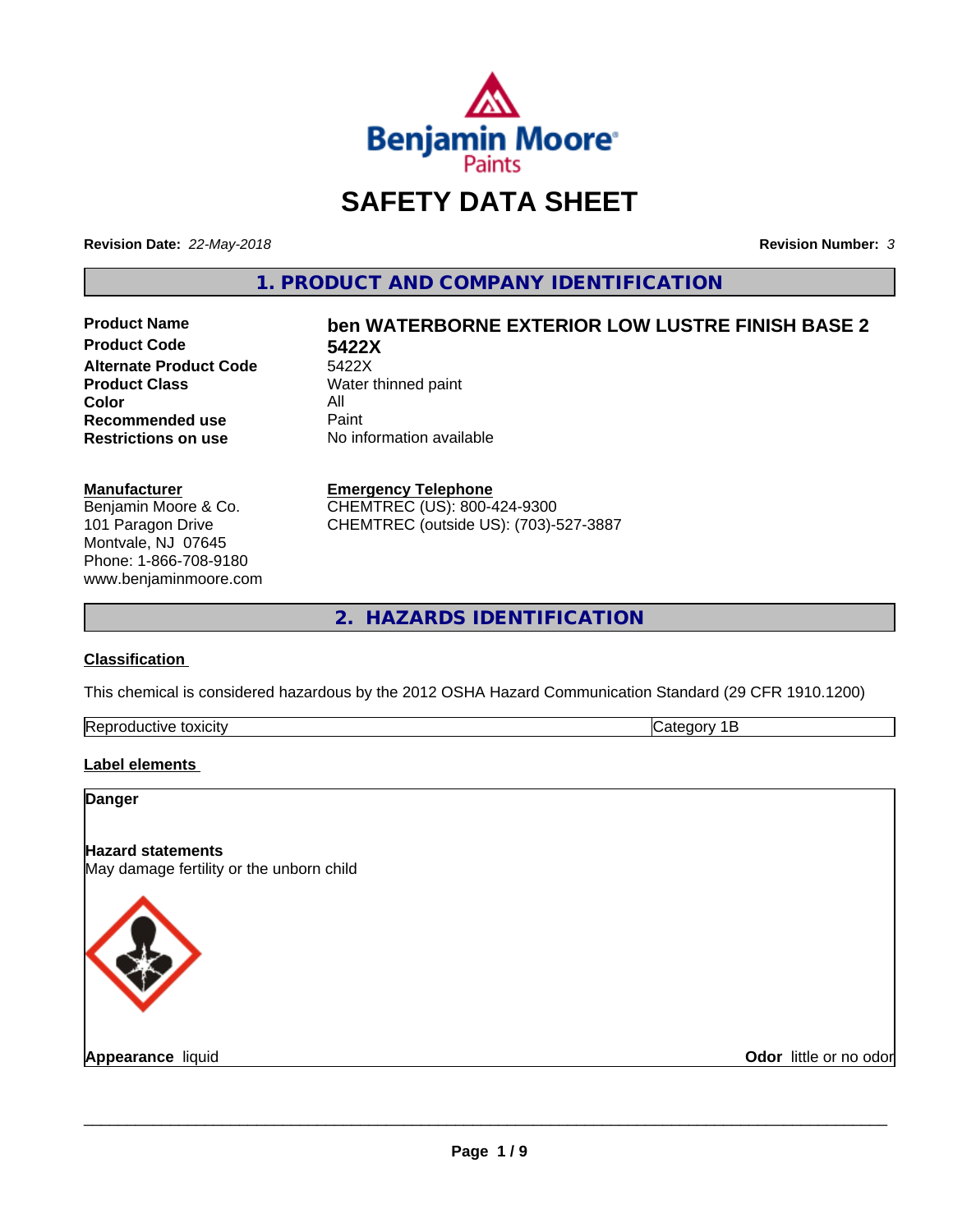

## **SAFETY DATA SHEET**

**Revision Date:** *22-May-2018* **Revision Number:** *3*

**1. PRODUCT AND COMPANY IDENTIFICATION**

**Product Code 5422X Alternate Product Code** 5422X<br>**Product Class** Water t **Color** All<br> **Recommended use** Paint **Recommended use**<br>Restrictions on use

# **Product Name ben WATERBORNE EXTERIOR LOW LUSTRE FINISH BASE 2**

**Water thinned paint Restrictions on use** No information available

#### **Manufacturer**

Benjamin Moore & Co. 101 Paragon Drive Montvale, NJ 07645 Phone: 1-866-708-9180 www.benjaminmoore.com

#### **Emergency Telephone**

CHEMTREC (US): 800-424-9300 CHEMTREC (outside US): (703)-527-3887

**2. HAZARDS IDENTIFICATION**

#### **Classification**

This chemical is considered hazardous by the 2012 OSHA Hazard Communication Standard (29 CFR 1910.1200)

| ייי<br>ıxı<br>.<br>$\cdot$ IMF<br>.<br>R.<br>-- |  |
|-------------------------------------------------|--|
|                                                 |  |

#### **Label elements**

| <b>Danger</b>                                                        |                        |
|----------------------------------------------------------------------|------------------------|
| <b>Hazard statements</b><br>May damage fertility or the unborn child |                        |
|                                                                      |                        |
| Appearance liquid                                                    | Odor little or no odor |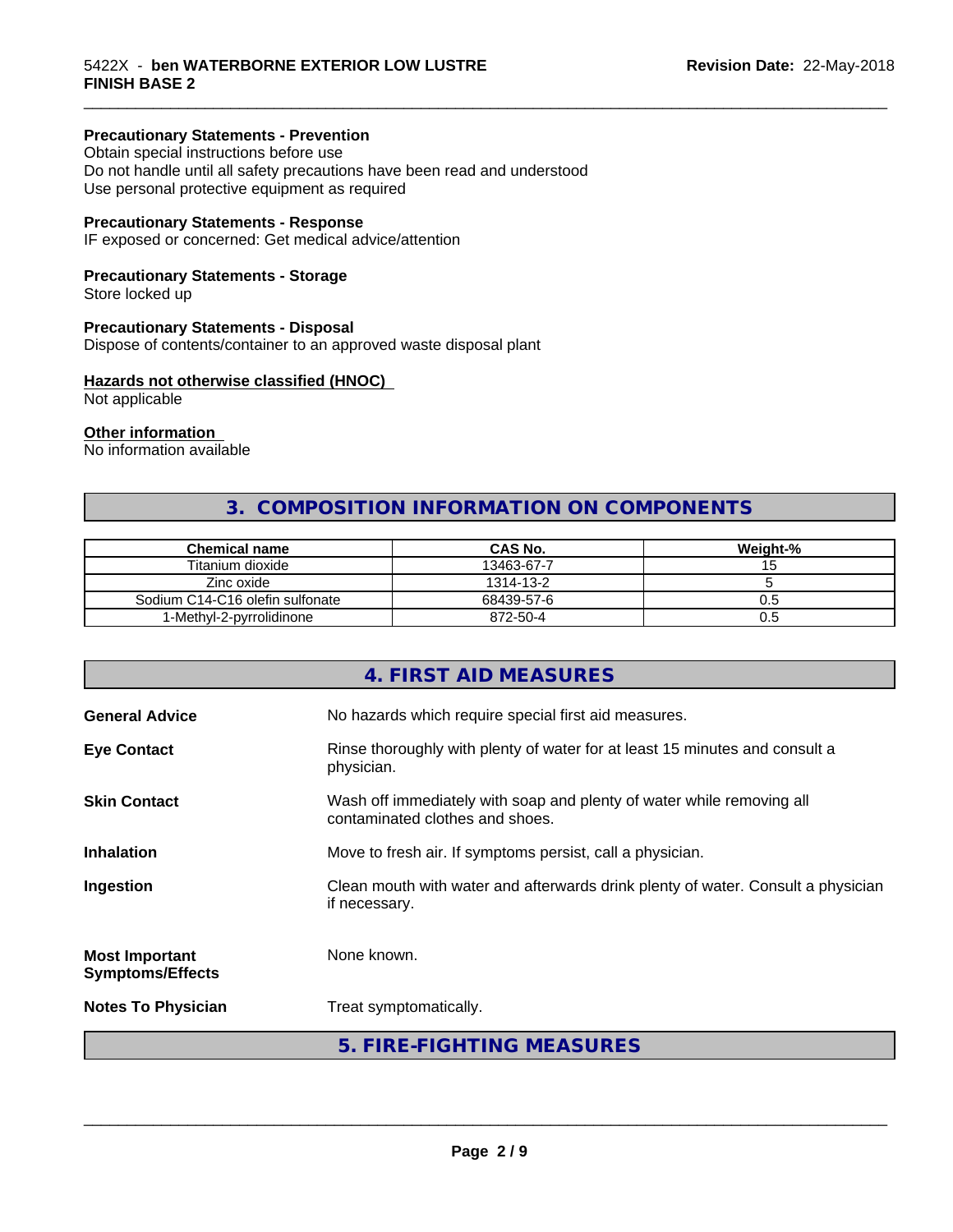#### **Precautionary Statements - Prevention**

Obtain special instructions before use Do not handle until all safety precautions have been read and understood Use personal protective equipment as required

#### **Precautionary Statements - Response**

IF exposed or concerned: Get medical advice/attention

#### **Precautionary Statements - Storage**

Store locked up

#### **Precautionary Statements - Disposal**

Dispose of contents/container to an approved waste disposal plant

#### **Hazards not otherwise classified (HNOC)**

Not applicable

#### **Other information**

No information available

#### **3. COMPOSITION INFORMATION ON COMPONENTS**

\_\_\_\_\_\_\_\_\_\_\_\_\_\_\_\_\_\_\_\_\_\_\_\_\_\_\_\_\_\_\_\_\_\_\_\_\_\_\_\_\_\_\_\_\_\_\_\_\_\_\_\_\_\_\_\_\_\_\_\_\_\_\_\_\_\_\_\_\_\_\_\_\_\_\_\_\_\_\_\_\_\_\_\_\_\_\_\_\_\_\_\_\_

| <b>Chemical name</b>            | <b>CAS No.</b> | Weight-% |
|---------------------------------|----------------|----------|
| Titanium dioxide                | 13463-67-7     |          |
| Zinc oxide                      | 1314-13-2      |          |
| Sodium C14-C16 olefin sulfonate | 68439-57-6     | U.5      |
| 1-Methyl-2-pyrrolidinone        | 872-50-4       | U.5      |

#### **4. FIRST AID MEASURES**

| <b>General Advice</b>                            | No hazards which require special first aid measures.                                                     |  |
|--------------------------------------------------|----------------------------------------------------------------------------------------------------------|--|
| <b>Eye Contact</b>                               | Rinse thoroughly with plenty of water for at least 15 minutes and consult a<br>physician.                |  |
| <b>Skin Contact</b>                              | Wash off immediately with soap and plenty of water while removing all<br>contaminated clothes and shoes. |  |
| <b>Inhalation</b>                                | Move to fresh air. If symptoms persist, call a physician.                                                |  |
| Ingestion                                        | Clean mouth with water and afterwards drink plenty of water. Consult a physician<br>if necessary.        |  |
| <b>Most Important</b><br><b>Symptoms/Effects</b> | None known.                                                                                              |  |
| <b>Notes To Physician</b>                        | Treat symptomatically.                                                                                   |  |
|                                                  | 5. FIRE-FIGHTING MEASURES                                                                                |  |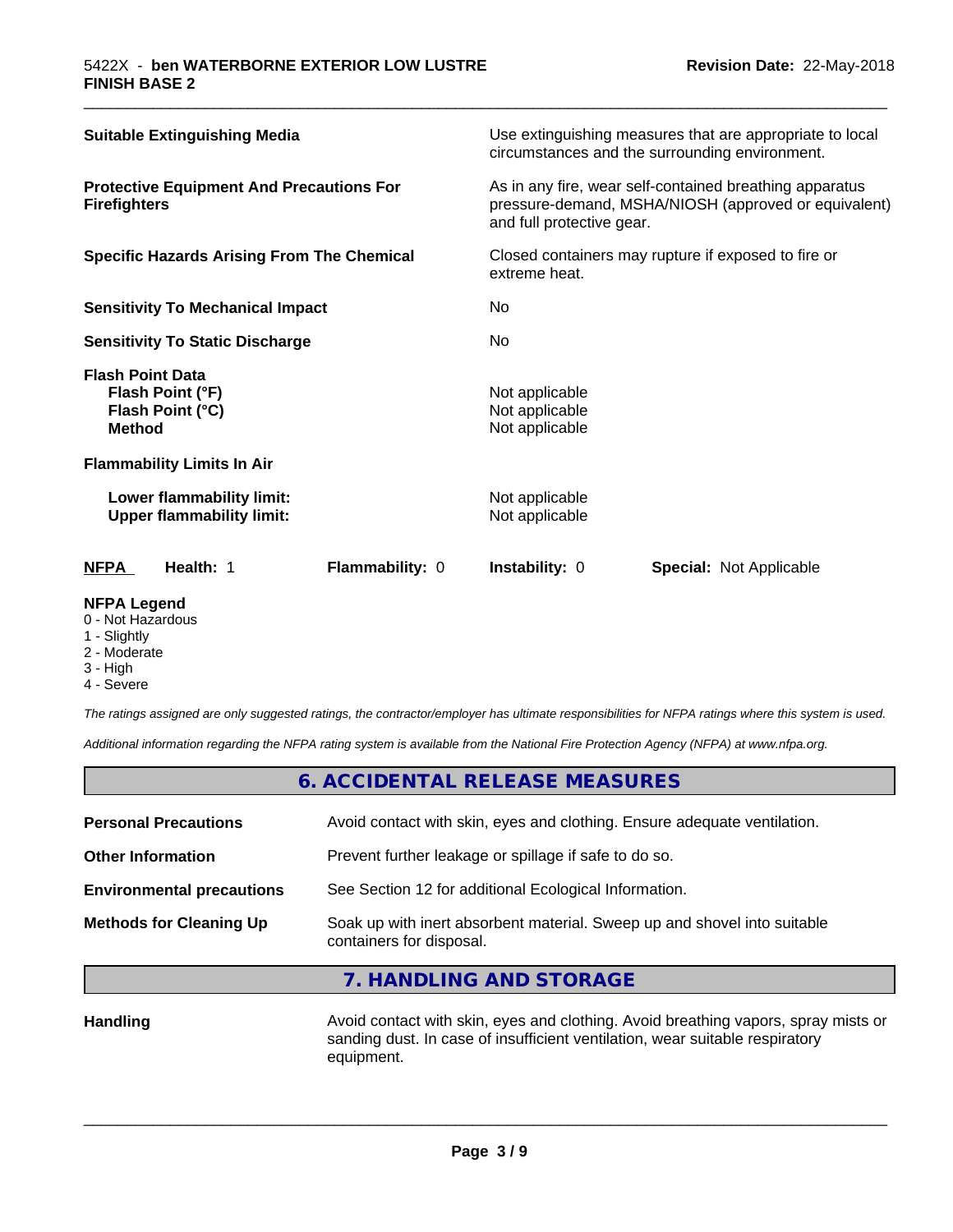| <b>Suitable Extinguishing Media</b>                                              | Use extinguishing measures that are appropriate to local<br>circumstances and the surrounding environment.                                   |  |  |
|----------------------------------------------------------------------------------|----------------------------------------------------------------------------------------------------------------------------------------------|--|--|
| <b>Protective Equipment And Precautions For</b><br><b>Firefighters</b>           | As in any fire, wear self-contained breathing apparatus<br>pressure-demand, MSHA/NIOSH (approved or equivalent)<br>and full protective gear. |  |  |
| <b>Specific Hazards Arising From The Chemical</b>                                | Closed containers may rupture if exposed to fire or<br>extreme heat.                                                                         |  |  |
| <b>Sensitivity To Mechanical Impact</b>                                          | No                                                                                                                                           |  |  |
| <b>Sensitivity To Static Discharge</b>                                           | No.                                                                                                                                          |  |  |
| <b>Flash Point Data</b><br>Flash Point (°F)<br>Flash Point (°C)<br><b>Method</b> | Not applicable<br>Not applicable<br>Not applicable                                                                                           |  |  |
| <b>Flammability Limits In Air</b>                                                |                                                                                                                                              |  |  |
| Lower flammability limit:<br><b>Upper flammability limit:</b>                    | Not applicable<br>Not applicable                                                                                                             |  |  |
| <b>NFPA</b><br>Health: 1<br>Flammability: 0                                      | <b>Instability: 0</b><br><b>Special: Not Applicable</b>                                                                                      |  |  |

\_\_\_\_\_\_\_\_\_\_\_\_\_\_\_\_\_\_\_\_\_\_\_\_\_\_\_\_\_\_\_\_\_\_\_\_\_\_\_\_\_\_\_\_\_\_\_\_\_\_\_\_\_\_\_\_\_\_\_\_\_\_\_\_\_\_\_\_\_\_\_\_\_\_\_\_\_\_\_\_\_\_\_\_\_\_\_\_\_\_\_\_\_

#### **NFPA Legend**

- 0 Not Hazardous
- 1 Slightly
- 2 Moderate
- 3 High
- 4 Severe

*The ratings assigned are only suggested ratings, the contractor/employer has ultimate responsibilities for NFPA ratings where this system is used.*

*Additional information regarding the NFPA rating system is available from the National Fire Protection Agency (NFPA) at www.nfpa.org.*

#### **6. ACCIDENTAL RELEASE MEASURES**

| <b>Methods for Cleaning Up</b>   | Soak up with inert absorbent material. Sweep up and shovel into suitable<br>containers for disposal. |
|----------------------------------|------------------------------------------------------------------------------------------------------|
| <b>Environmental precautions</b> | See Section 12 for additional Ecological Information.                                                |
| <b>Other Information</b>         | Prevent further leakage or spillage if safe to do so.                                                |
| <b>Personal Precautions</b>      | Avoid contact with skin, eyes and clothing. Ensure adequate ventilation.                             |
|                                  |                                                                                                      |

#### **7. HANDLING AND STORAGE**

Handling **Handling** Avoid contact with skin, eyes and clothing. Avoid breathing vapors, spray mists or sanding dust. In case of insufficient ventilation, wear suitable respiratory equipment.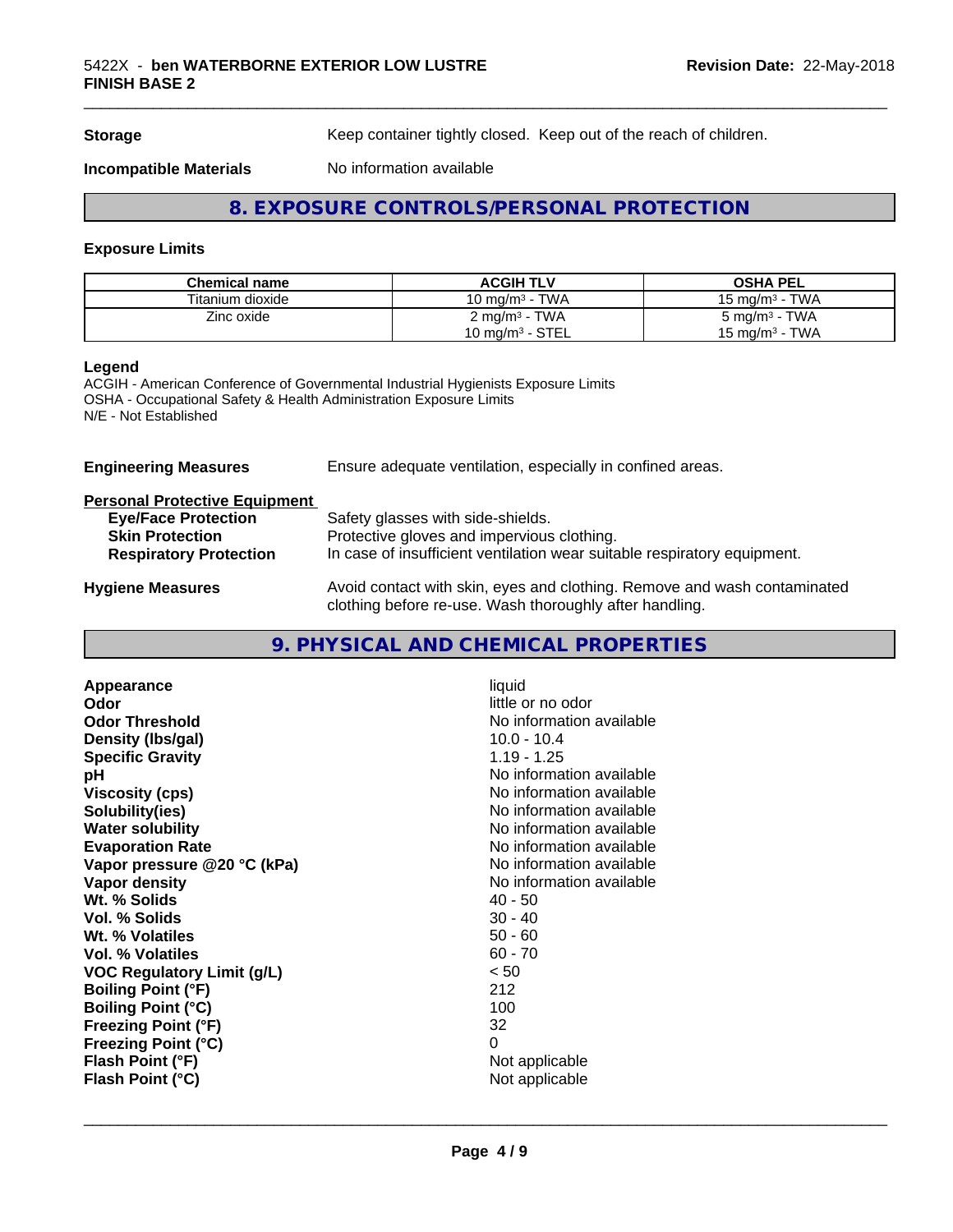**Storage** Keep container tightly closed. Keep out of the reach of children.

\_\_\_\_\_\_\_\_\_\_\_\_\_\_\_\_\_\_\_\_\_\_\_\_\_\_\_\_\_\_\_\_\_\_\_\_\_\_\_\_\_\_\_\_\_\_\_\_\_\_\_\_\_\_\_\_\_\_\_\_\_\_\_\_\_\_\_\_\_\_\_\_\_\_\_\_\_\_\_\_\_\_\_\_\_\_\_\_\_\_\_\_\_

**Incompatible Materials** No information available

### **8. EXPOSURE CONTROLS/PERSONAL PROTECTION**

#### **Exposure Limits**

| <b>Chemical name</b> | <b>ACGIH TLV</b>          | <b>OSHA PEL</b>            |
|----------------------|---------------------------|----------------------------|
| Titanium dioxide     | 10 mg/m $3$ - TWA         | 15 mg/m $3$ - TWA          |
| Zinc oxide           | 2 mg/m <sup>3</sup> - TWA | $5 \text{ mg/m}^3$ - TWA   |
|                      | 10 mg/m $3$ - STEL        | 15 mg/m <sup>3</sup> - TWA |

#### **Legend**

ACGIH - American Conference of Governmental Industrial Hygienists Exposure Limits OSHA - Occupational Safety & Health Administration Exposure Limits N/E - Not Established

**Engineering Measures** Ensure adequate ventilation, especially in confined areas.

|  |  | <b>Personal Protective Equipment</b> |  |  |  |
|--|--|--------------------------------------|--|--|--|
|  |  |                                      |  |  |  |

| <b>Eye/Face Protection</b>    | Safety glasses with side-shields.                                                                              |
|-------------------------------|----------------------------------------------------------------------------------------------------------------|
| <b>Skin Protection</b>        | Protective gloves and impervious clothing.                                                                     |
| <b>Respiratory Protection</b> | In case of insufficient ventilation wear suitable respiratory equipment.                                       |
|                               | A contra conservativativa conservativa a la componenza della conservazione di conservazione di conservazione d |

**Hygiene Measures** Avoid contact with skin, eyes and clothing. Remove and wash contaminated clothing before re-use. Wash thoroughly after handling.

#### **9. PHYSICAL AND CHEMICAL PROPERTIES**

| Appearance<br>Odor<br><b>Odor Threshold</b><br>Density (Ibs/gal)<br><b>Specific Gravity</b><br>рH<br><b>Viscosity (cps)</b> | liquid<br>little or no odor<br>No information available<br>$10.0 - 10.4$<br>$1.19 - 1.25$<br>No information available<br>No information available |
|-----------------------------------------------------------------------------------------------------------------------------|---------------------------------------------------------------------------------------------------------------------------------------------------|
| Solubility(ies)                                                                                                             | No information available                                                                                                                          |
| <b>Water solubility</b>                                                                                                     | No information available                                                                                                                          |
| <b>Evaporation Rate</b>                                                                                                     | No information available                                                                                                                          |
| Vapor pressure @20 °C (kPa)                                                                                                 | No information available                                                                                                                          |
| Vapor density                                                                                                               | No information available                                                                                                                          |
| Wt. % Solids                                                                                                                | 40 - 50                                                                                                                                           |
| Vol. % Solids                                                                                                               | $30 - 40$                                                                                                                                         |
| Wt. % Volatiles                                                                                                             | $50 - 60$                                                                                                                                         |
| <b>Vol. % Volatiles</b>                                                                                                     | $60 - 70$                                                                                                                                         |
| <b>VOC Regulatory Limit (g/L)</b>                                                                                           | < 50                                                                                                                                              |
| <b>Boiling Point (°F)</b>                                                                                                   | 212                                                                                                                                               |
| <b>Boiling Point (°C)</b>                                                                                                   | 100                                                                                                                                               |
| <b>Freezing Point (°F)</b>                                                                                                  | 32                                                                                                                                                |
| <b>Freezing Point (°C)</b>                                                                                                  | 0                                                                                                                                                 |
| Flash Point (°F)                                                                                                            | Not applicable                                                                                                                                    |
| Flash Point (°C)                                                                                                            | Not applicable                                                                                                                                    |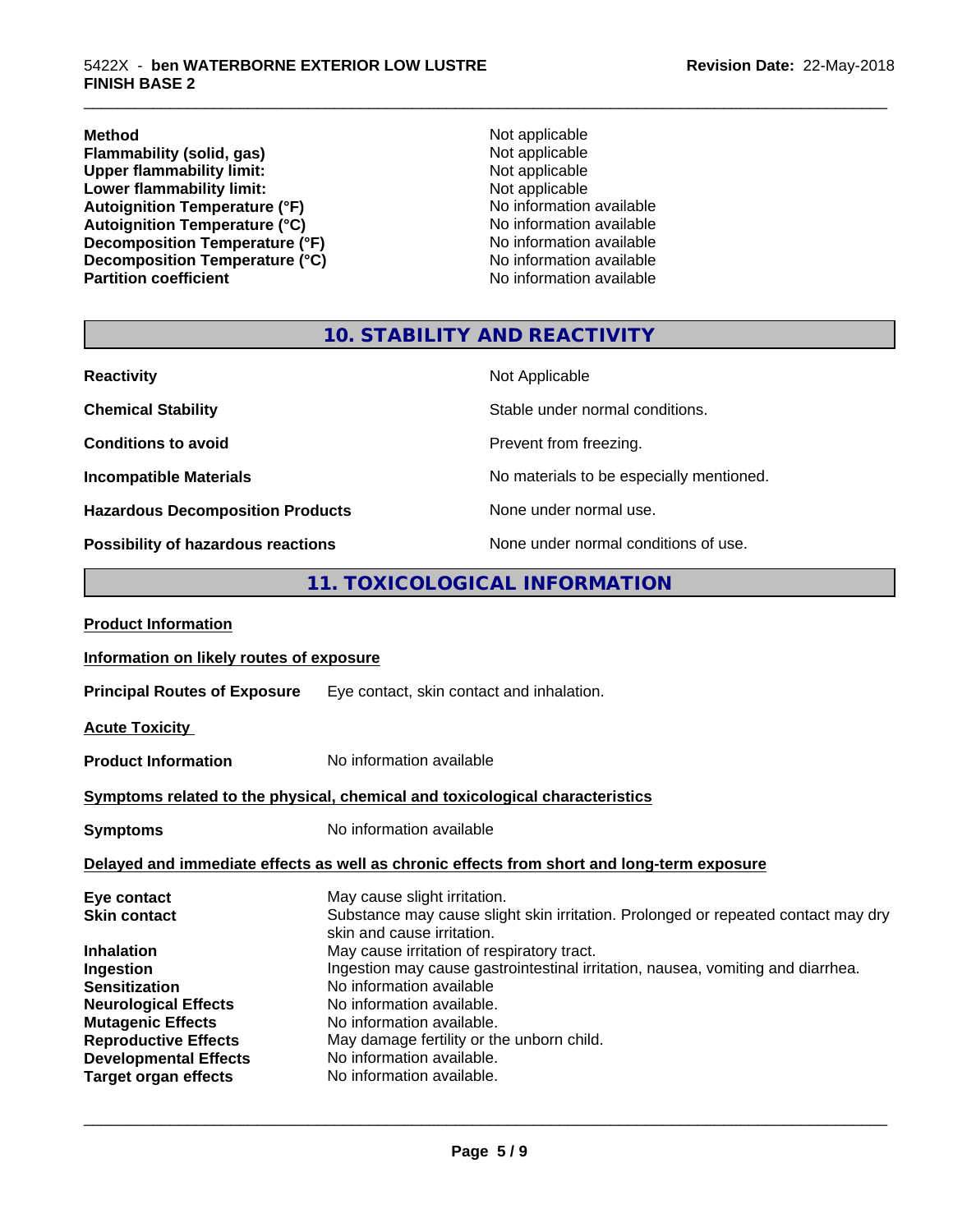**Method** Not applicable **Flammability (solid, gas)** Not applicable<br>
Upper flammability limit:<br>
Not applicable<br>
Not applicable **Upper flammability limit:**<br> **Lower flammability limit:**<br>
Not applicable<br>
Not applicable **Lower flammability limit:**<br> **Autoignition Temperature (°F)**<br>
Mo information available Autoignition Temperature (°F)<br>
Autoignition Temperature (°C)<br>
No information available Autoignition Temperature (°C)<br>
Decomposition Temperature (°F)<br>
No information available **Decomposition Temperature (°F)**<br> **Decomposition Temperature (°C)**<br>
No information available **Decomposition Temperature (°C)**<br>Partition coefficient

**No information available** 

\_\_\_\_\_\_\_\_\_\_\_\_\_\_\_\_\_\_\_\_\_\_\_\_\_\_\_\_\_\_\_\_\_\_\_\_\_\_\_\_\_\_\_\_\_\_\_\_\_\_\_\_\_\_\_\_\_\_\_\_\_\_\_\_\_\_\_\_\_\_\_\_\_\_\_\_\_\_\_\_\_\_\_\_\_\_\_\_\_\_\_\_\_

#### **10. STABILITY AND REACTIVITY**

| <b>Reactivity</b>                         | Not Applicable                           |
|-------------------------------------------|------------------------------------------|
| <b>Chemical Stability</b>                 | Stable under normal conditions.          |
| <b>Conditions to avoid</b>                | Prevent from freezing.                   |
| <b>Incompatible Materials</b>             | No materials to be especially mentioned. |
| <b>Hazardous Decomposition Products</b>   | None under normal use.                   |
| <b>Possibility of hazardous reactions</b> | None under normal conditions of use.     |

#### **11. TOXICOLOGICAL INFORMATION**

| <b>Product Information</b>               |                                                                                                                 |  |  |
|------------------------------------------|-----------------------------------------------------------------------------------------------------------------|--|--|
| Information on likely routes of exposure |                                                                                                                 |  |  |
| <b>Principal Routes of Exposure</b>      | Eye contact, skin contact and inhalation.                                                                       |  |  |
| <b>Acute Toxicity</b>                    |                                                                                                                 |  |  |
| <b>Product Information</b>               | No information available                                                                                        |  |  |
|                                          | Symptoms related to the physical, chemical and toxicological characteristics                                    |  |  |
| <b>Symptoms</b>                          | No information available                                                                                        |  |  |
|                                          | Delayed and immediate effects as well as chronic effects from short and long-term exposure                      |  |  |
| Eye contact                              | May cause slight irritation.                                                                                    |  |  |
| <b>Skin contact</b>                      | Substance may cause slight skin irritation. Prolonged or repeated contact may dry<br>skin and cause irritation. |  |  |
| <b>Inhalation</b>                        | May cause irritation of respiratory tract.                                                                      |  |  |
| Ingestion                                | Ingestion may cause gastrointestinal irritation, nausea, vomiting and diarrhea.                                 |  |  |
| <b>Sensitization</b>                     | No information available                                                                                        |  |  |
| <b>Neurological Effects</b>              | No information available.                                                                                       |  |  |
| <b>Mutagenic Effects</b>                 | No information available.                                                                                       |  |  |
| <b>Reproductive Effects</b>              | May damage fertility or the unborn child.                                                                       |  |  |
| <b>Developmental Effects</b>             | No information available.                                                                                       |  |  |
| <b>Target organ effects</b>              | No information available.                                                                                       |  |  |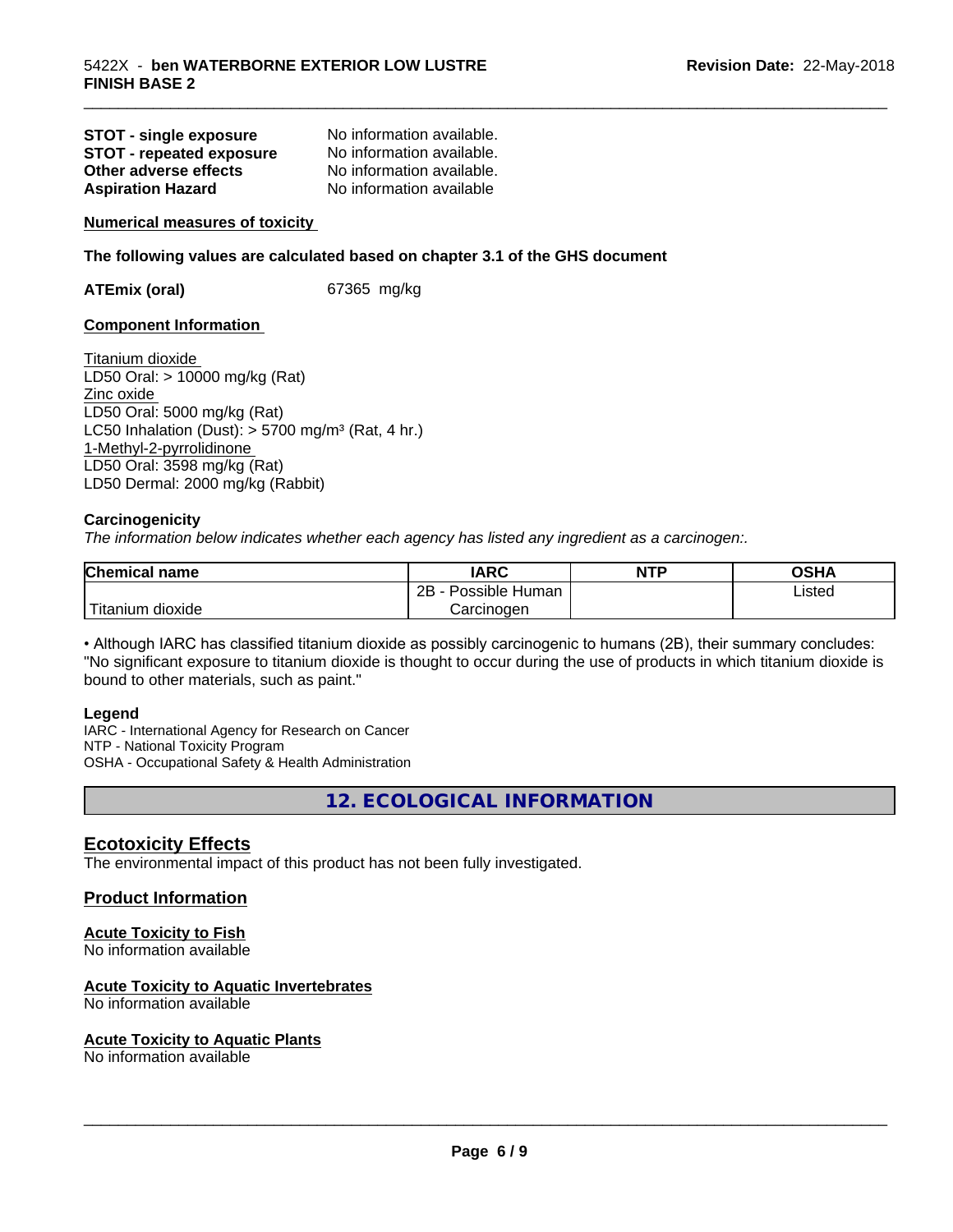| <b>STOT - single exposure</b>   | No information available. |
|---------------------------------|---------------------------|
| <b>STOT - repeated exposure</b> | No information available. |
| Other adverse effects           | No information available. |
| <b>Aspiration Hazard</b>        | No information available  |

**Numerical measures of toxicity**

**The following values are calculated based on chapter 3.1 of the GHS document**

**ATEmix (oral)** 67365 mg/kg

#### **Component Information**

Titanium dioxide LD50 Oral: > 10000 mg/kg (Rat) Zinc oxide LD50 Oral: 5000 mg/kg (Rat) LC50 Inhalation (Dust):  $> 5700$  mg/m<sup>3</sup> (Rat, 4 hr.) 1-Methyl-2-pyrrolidinone LD50 Oral: 3598 mg/kg (Rat) LD50 Dermal: 2000 mg/kg (Rabbit)

#### **Carcinogenicity**

*The information below indicateswhether each agency has listed any ingredient as a carcinogen:.*

| <b>Chemical name</b>                     | <b>IARC</b>              | <b>NTP</b> | <b>OSHA</b> |
|------------------------------------------|--------------------------|------------|-------------|
|                                          | 2B<br><br>Possible Human |            | Listed      |
| $'$ Titanium $\overline{.}$<br>n dioxide | Carcinoɑen               |            |             |

\_\_\_\_\_\_\_\_\_\_\_\_\_\_\_\_\_\_\_\_\_\_\_\_\_\_\_\_\_\_\_\_\_\_\_\_\_\_\_\_\_\_\_\_\_\_\_\_\_\_\_\_\_\_\_\_\_\_\_\_\_\_\_\_\_\_\_\_\_\_\_\_\_\_\_\_\_\_\_\_\_\_\_\_\_\_\_\_\_\_\_\_\_

• Although IARC has classified titanium dioxide as possibly carcinogenic to humans (2B), their summary concludes: "No significant exposure to titanium dioxide is thought to occur during the use of products in which titanium dioxide is bound to other materials, such as paint."

#### **Legend**

IARC - International Agency for Research on Cancer NTP - National Toxicity Program OSHA - Occupational Safety & Health Administration

**12. ECOLOGICAL INFORMATION**

#### **Ecotoxicity Effects**

The environmental impact of this product has not been fully investigated.

#### **Product Information**

#### **Acute Toxicity to Fish**

No information available

#### **Acute Toxicity to Aquatic Invertebrates**

No information available

#### **Acute Toxicity to Aquatic Plants**

No information available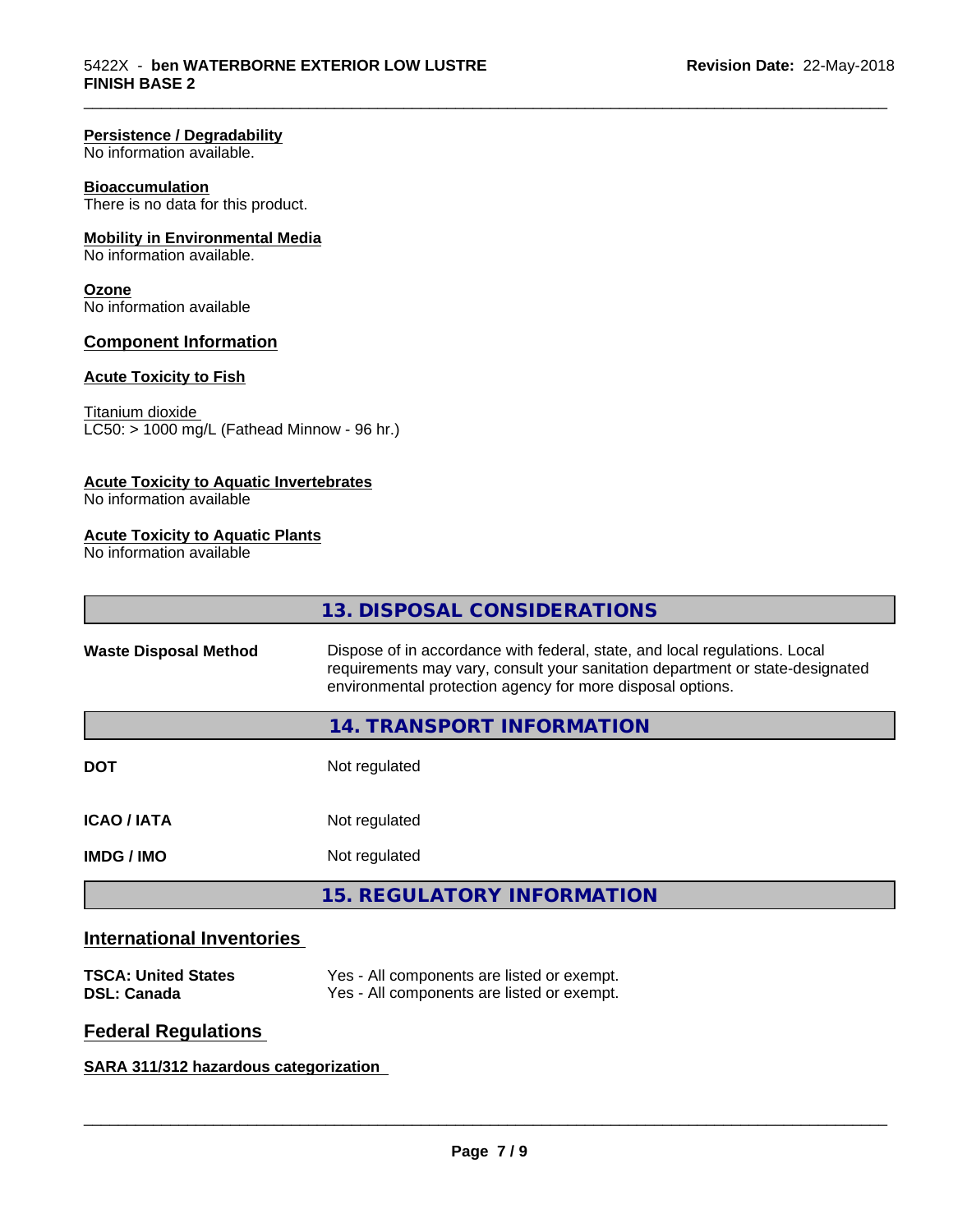#### **Persistence / Degradability**

No information available.

#### **Bioaccumulation**

There is no data for this product.

#### **Mobility in Environmental Media**

No information available.

#### **Ozone**

No information available

#### **Component Information**

#### **Acute Toxicity to Fish**

#### Titanium dioxide

 $\overline{\text{LC50:}}$  > 1000 mg/L (Fathead Minnow - 96 hr.)

#### **Acute Toxicity to Aquatic Invertebrates**

No information available

#### **Acute Toxicity to Aquatic Plants**

No information available

|                              | 13. DISPOSAL CONSIDERATIONS                                                                                                                                                                                               |
|------------------------------|---------------------------------------------------------------------------------------------------------------------------------------------------------------------------------------------------------------------------|
| <b>Waste Disposal Method</b> | Dispose of in accordance with federal, state, and local regulations. Local<br>requirements may vary, consult your sanitation department or state-designated<br>environmental protection agency for more disposal options. |
|                              | 14. TRANSPORT INFORMATION                                                                                                                                                                                                 |
| <b>DOT</b>                   | Not regulated                                                                                                                                                                                                             |
| <b>ICAO/IATA</b>             | Not regulated                                                                                                                                                                                                             |
| <b>IMDG/IMO</b>              | Not regulated                                                                                                                                                                                                             |
|                              | <b>15. REGULATORY INFORMATION</b>                                                                                                                                                                                         |

#### **International Inventories**

| <b>TSCA: United States</b> | Yes - All components are listed or exempt. |
|----------------------------|--------------------------------------------|
| <b>DSL: Canada</b>         | Yes - All components are listed or exempt. |

#### **Federal Regulations**

#### **SARA 311/312 hazardous categorization**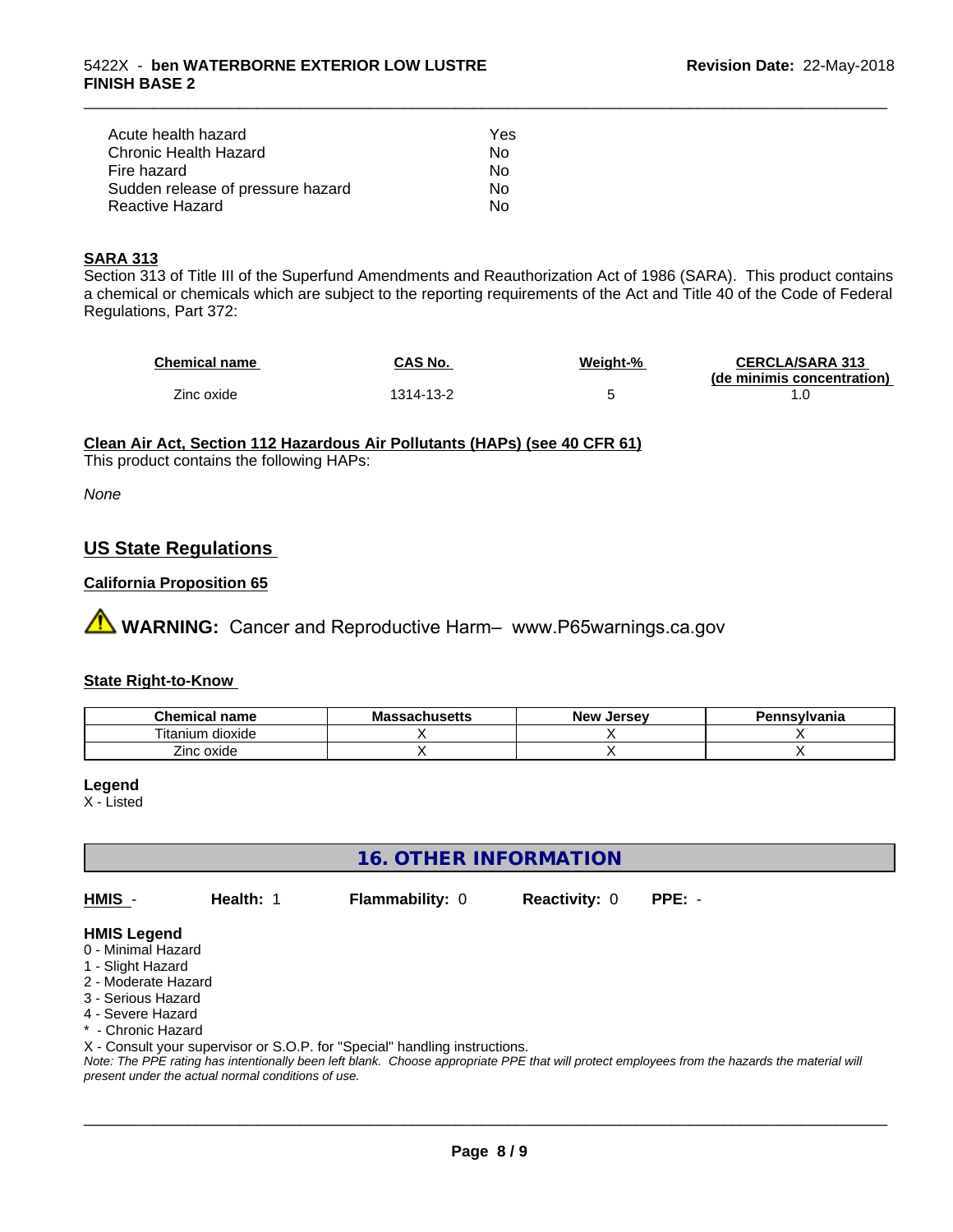| Acute health hazard               | Yes |
|-----------------------------------|-----|
| Chronic Health Hazard             | Nο  |
| Fire hazard                       | Nο  |
| Sudden release of pressure hazard | N٥  |
| Reactive Hazard                   | N٥  |

#### **SARA 313**

Section 313 of Title III of the Superfund Amendments and Reauthorization Act of 1986 (SARA). This product contains a chemical or chemicals which are subject to the reporting requirements of the Act and Title 40 of the Code of Federal Regulations, Part 372:

| Chemical name | CAS No.   | Weight-% | <b>CERCLA/SARA 313</b>     |
|---------------|-----------|----------|----------------------------|
|               |           |          | (de minimis concentration) |
| Zinc oxide    | 1314-13-2 |          |                            |

\_\_\_\_\_\_\_\_\_\_\_\_\_\_\_\_\_\_\_\_\_\_\_\_\_\_\_\_\_\_\_\_\_\_\_\_\_\_\_\_\_\_\_\_\_\_\_\_\_\_\_\_\_\_\_\_\_\_\_\_\_\_\_\_\_\_\_\_\_\_\_\_\_\_\_\_\_\_\_\_\_\_\_\_\_\_\_\_\_\_\_\_\_

#### **Clean Air Act,Section 112 Hazardous Air Pollutants (HAPs) (see 40 CFR 61)**

This product contains the following HAPs:

*None*

#### **US State Regulations**

#### **California Proposition 65**

**AN** WARNING: Cancer and Reproductive Harm– www.P65warnings.ca.gov

#### **State Right-to-Know**

| $\sim$<br>Chemical<br>N name≀       | IVIA<br>aunustus | <b>Jerse</b> v<br><b>Nev</b> | าnsvlvania |
|-------------------------------------|------------------|------------------------------|------------|
| <br>--<br>dioxide<br>um<br>. ıtanıı |                  |                              |            |
| Zinc oxide                          |                  |                              |            |

#### **Legend**

X - Listed

#### **16. OTHER INFORMATION**

**HMIS** - **Health:** 1 **Flammability:** 0 **Reactivity:** 0 **PPE:** -

 $\overline{\phantom{a}}$  ,  $\overline{\phantom{a}}$  ,  $\overline{\phantom{a}}$  ,  $\overline{\phantom{a}}$  ,  $\overline{\phantom{a}}$  ,  $\overline{\phantom{a}}$  ,  $\overline{\phantom{a}}$  ,  $\overline{\phantom{a}}$  ,  $\overline{\phantom{a}}$  ,  $\overline{\phantom{a}}$  ,  $\overline{\phantom{a}}$  ,  $\overline{\phantom{a}}$  ,  $\overline{\phantom{a}}$  ,  $\overline{\phantom{a}}$  ,  $\overline{\phantom{a}}$  ,  $\overline{\phantom{a}}$ 

#### **HMIS Legend**

- 0 Minimal Hazard
- 1 Slight Hazard
- 2 Moderate Hazard
- 3 Serious Hazard
- 4 Severe Hazard
- \* Chronic Hazard

X - Consult your supervisor or S.O.P. for "Special" handling instructions.

*Note: The PPE rating has intentionally been left blank. Choose appropriate PPE that will protect employees from the hazards the material will present under the actual normal conditions of use.*